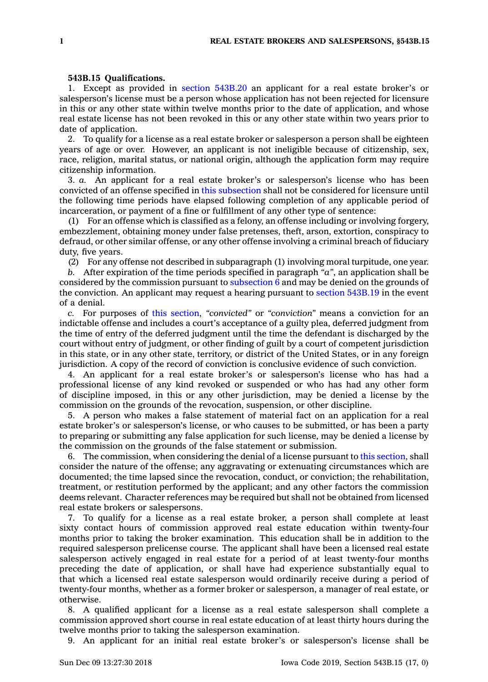## **543B.15 Qualifications.**

1. Except as provided in section [543B.20](https://www.legis.iowa.gov/docs/code/543B.20.pdf) an applicant for <sup>a</sup> real estate broker's or salesperson's license must be <sup>a</sup> person whose application has not been rejected for licensure in this or any other state within twelve months prior to the date of application, and whose real estate license has not been revoked in this or any other state within two years prior to date of application.

2. To qualify for <sup>a</sup> license as <sup>a</sup> real estate broker or salesperson <sup>a</sup> person shall be eighteen years of age or over. However, an applicant is not ineligible because of citizenship, sex, race, religion, marital status, or national origin, although the application form may require citizenship information.

3. *a.* An applicant for <sup>a</sup> real estate broker's or salesperson's license who has been convicted of an offense specified in this [subsection](https://www.legis.iowa.gov/docs/code/543B.15.pdf) shall not be considered for licensure until the following time periods have elapsed following completion of any applicable period of incarceration, or payment of <sup>a</sup> fine or fulfillment of any other type of sentence:

(1) For an offense which is classified as <sup>a</sup> felony, an offense including or involving forgery, embezzlement, obtaining money under false pretenses, theft, arson, extortion, conspiracy to defraud, or other similar offense, or any other offense involving <sup>a</sup> criminal breach of fiduciary duty, five years.

(2) For any offense not described in subparagraph (1) involving moral turpitude, one year.

*b.* After expiration of the time periods specified in paragraph *"a"*, an application shall be considered by the commission pursuant to [subsection](https://www.legis.iowa.gov/docs/code/543B.15.pdf) 6 and may be denied on the grounds of the conviction. An applicant may request <sup>a</sup> hearing pursuant to section [543B.19](https://www.legis.iowa.gov/docs/code/543B.19.pdf) in the event of <sup>a</sup> denial.

*c.* For purposes of this [section](https://www.legis.iowa.gov/docs/code/543B.15.pdf), *"convicted"* or *"conviction"* means <sup>a</sup> conviction for an indictable offense and includes <sup>a</sup> court's acceptance of <sup>a</sup> guilty plea, deferred judgment from the time of entry of the deferred judgment until the time the defendant is discharged by the court without entry of judgment, or other finding of guilt by <sup>a</sup> court of competent jurisdiction in this state, or in any other state, territory, or district of the United States, or in any foreign jurisdiction. A copy of the record of conviction is conclusive evidence of such conviction.

4. An applicant for <sup>a</sup> real estate broker's or salesperson's license who has had <sup>a</sup> professional license of any kind revoked or suspended or who has had any other form of discipline imposed, in this or any other jurisdiction, may be denied <sup>a</sup> license by the commission on the grounds of the revocation, suspension, or other discipline.

5. A person who makes <sup>a</sup> false statement of material fact on an application for <sup>a</sup> real estate broker's or salesperson's license, or who causes to be submitted, or has been <sup>a</sup> party to preparing or submitting any false application for such license, may be denied <sup>a</sup> license by the commission on the grounds of the false statement or submission.

6. The commission, when considering the denial of <sup>a</sup> license pursuant to this [section](https://www.legis.iowa.gov/docs/code/543B.15.pdf), shall consider the nature of the offense; any aggravating or extenuating circumstances which are documented; the time lapsed since the revocation, conduct, or conviction; the rehabilitation, treatment, or restitution performed by the applicant; and any other factors the commission deems relevant. Character references may be required but shall not be obtained from licensed real estate brokers or salespersons.

7. To qualify for <sup>a</sup> license as <sup>a</sup> real estate broker, <sup>a</sup> person shall complete at least sixty contact hours of commission approved real estate education within twenty-four months prior to taking the broker examination. This education shall be in addition to the required salesperson prelicense course. The applicant shall have been <sup>a</sup> licensed real estate salesperson actively engaged in real estate for <sup>a</sup> period of at least twenty-four months preceding the date of application, or shall have had experience substantially equal to that which <sup>a</sup> licensed real estate salesperson would ordinarily receive during <sup>a</sup> period of twenty-four months, whether as <sup>a</sup> former broker or salesperson, <sup>a</sup> manager of real estate, or otherwise.

8. A qualified applicant for <sup>a</sup> license as <sup>a</sup> real estate salesperson shall complete <sup>a</sup> commission approved short course in real estate education of at least thirty hours during the twelve months prior to taking the salesperson examination.

9. An applicant for an initial real estate broker's or salesperson's license shall be